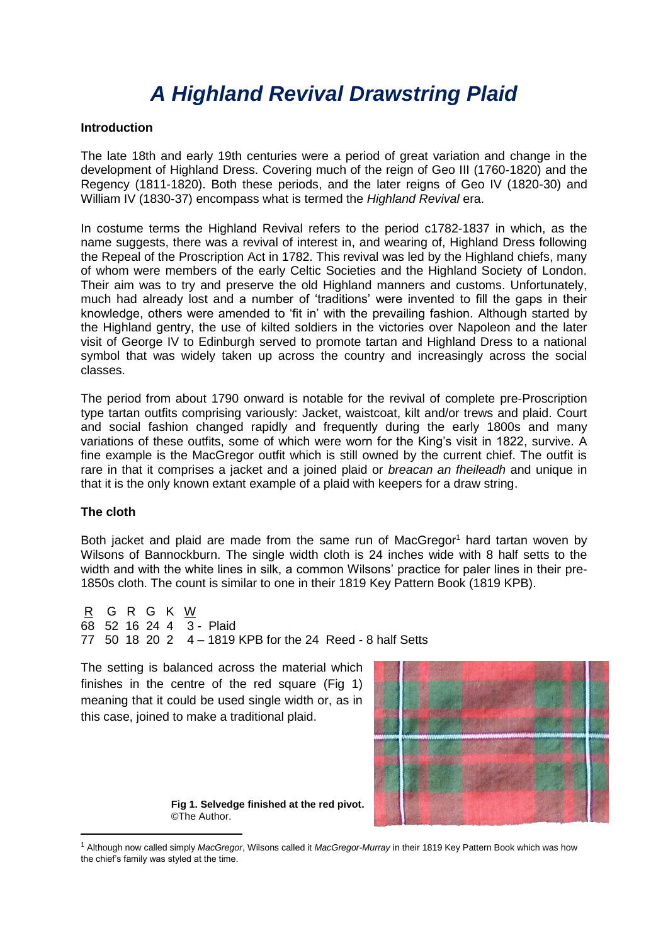# *A Highland Revival Drawstring Plaid*

#### **Introduction**

The late 18th and early 19th centuries were a period of great variation and change in the development of Highland Dress. Covering much of the reign of Geo III (1760-1820) and the Regency (1811-1820). Both these periods, and the later reigns of Geo IV (1820-30) and William IV (1830-37) encompass what is termed the *Highland Revival* era.

In costume terms the Highland Revival refers to the period c1782-1837 in which, as the name suggests, there was a revival of interest in, and wearing of, Highland Dress following the Repeal of the Proscription Act in 1782. This revival was led by the Highland chiefs, many of whom were members of the early Celtic Societies and the Highland Society of London. Their aim was to try and preserve the old Highland manners and customs. Unfortunately, much had already lost and a number of 'traditions' were invented to fill the gaps in their knowledge, others were amended to 'fit in' with the prevailing fashion. Although started by the Highland gentry, the use of kilted soldiers in the victories over Napoleon and the later visit of George IV to Edinburgh served to promote tartan and Highland Dress to a national symbol that was widely taken up across the country and increasingly across the social classes.

The period from about 1790 onward is notable for the revival of complete pre-Proscription type tartan outfits comprising variously: Jacket, waistcoat, kilt and/or trews and plaid. Court and social fashion changed rapidly and frequently during the early 1800s and many variations of these outfits, some of which were worn for the King's visit in 1822, survive. A fine example is the MacGregor outfit which is still owned by the current chief. The outfit is rare in that it comprises a jacket and a joined plaid or *breacan an fheileadh* and unique in that it is the only known extant example of a plaid with keepers for a draw string.

### **The cloth**

1

Both jacket and plaid are made from the same run of MacGregor<sup>1</sup> hard tartan woven by Wilsons of Bannockburn. The single width cloth is 24 inches wide with 8 half setts to the width and with the white lines in silk, a common Wilsons' practice for paler lines in their pre-1850s cloth. The count is similar to one in their 1819 Key Pattern Book (1819 KPB).

R G R G K W 68 52 16 24 4  $\overline{3}$  - Plaid 77 50 18 20 2 4 – 1819 KPB for the 24 Reed - 8 half Setts

The setting is balanced across the material which finishes in the centre of the red square (Fig 1) meaning that it could be used single width or, as in this case, joined to make a traditional plaid.



**Fig 1. Selvedge finished at the red pivot.** ©The Author.

<sup>1</sup> Although now called simply *MacGregor*, Wilsons called it *MacGregor-Murray* in their 1819 Key Pattern Book which was how the chief's family was styled at the time.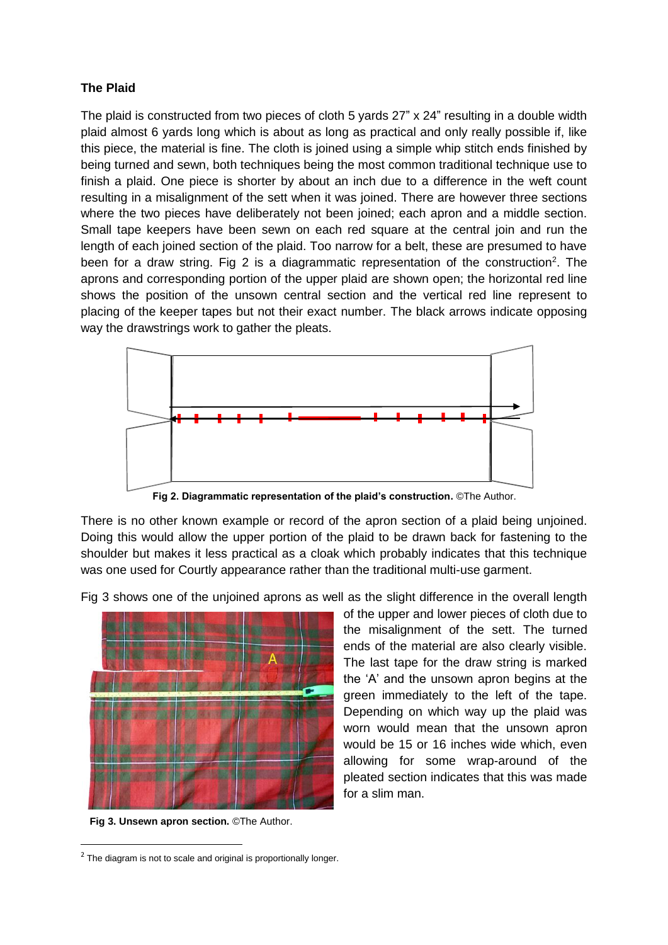# **The Plaid**

The plaid is constructed from two pieces of cloth 5 yards 27" x 24" resulting in a double width plaid almost 6 yards long which is about as long as practical and only really possible if, like this piece, the material is fine. The cloth is joined using a simple whip stitch ends finished by being turned and sewn, both techniques being the most common traditional technique use to finish a plaid. One piece is shorter by about an inch due to a difference in the weft count resulting in a misalignment of the sett when it was joined. There are however three sections where the two pieces have deliberately not been joined; each apron and a middle section. Small tape keepers have been sewn on each red square at the central join and run the length of each joined section of the plaid. Too narrow for a belt, these are presumed to have been for a draw string. Fig 2 is a diagrammatic representation of the construction<sup>2</sup>. The aprons and corresponding portion of the upper plaid are shown open; the horizontal red line shows the position of the unsown central section and the vertical red line represent to placing of the keeper tapes but not their exact number. The black arrows indicate opposing way the drawstrings work to gather the pleats.



**Fig 2. Diagrammatic representation of the plaid's construction.** ©The Author.

There is no other known example or record of the apron section of a plaid being unjoined. Doing this would allow the upper portion of the plaid to be drawn back for fastening to the shoulder but makes it less practical as a cloak which probably indicates that this technique was one used for Courtly appearance rather than the traditional multi-use garment.

Fig 3 shows one of the unjoined aprons as well as the slight difference in the overall length



**Fig 3. Unsewn apron section.** ©The Author.

**.** 

of the upper and lower pieces of cloth due to the misalignment of the sett. The turned ends of the material are also clearly visible. The last tape for the draw string is marked the 'A' and the unsown apron begins at the green immediately to the left of the tape. Depending on which way up the plaid was worn would mean that the unsown apron would be 15 or 16 inches wide which, even allowing for some wrap-around of the pleated section indicates that this was made for a slim man.

 $2$  The diagram is not to scale and original is proportionally longer.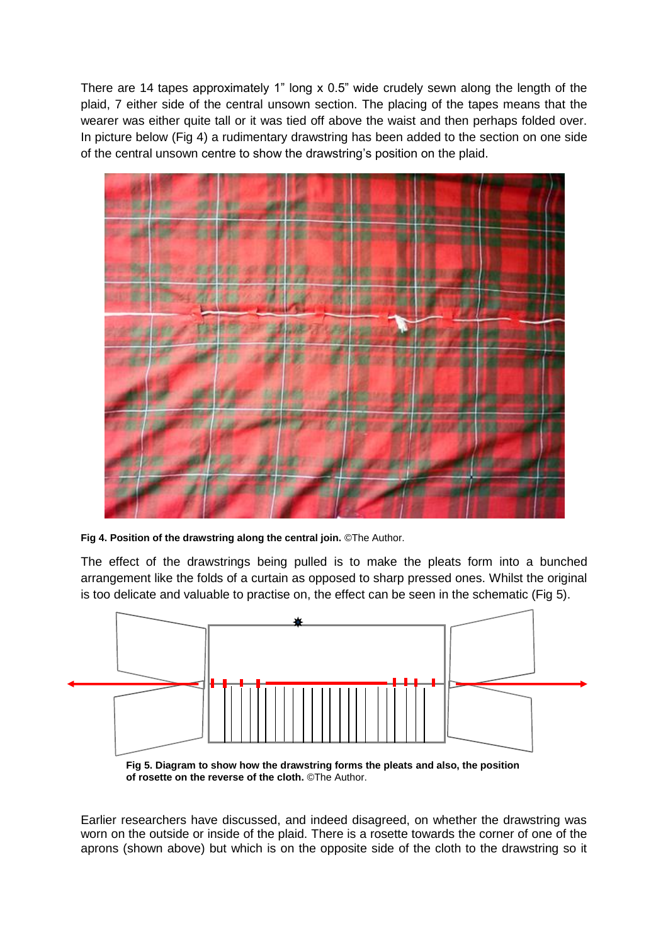There are 14 tapes approximately 1" long x 0.5" wide crudely sewn along the length of the plaid, 7 either side of the central unsown section. The placing of the tapes means that the wearer was either quite tall or it was tied off above the waist and then perhaps folded over. In picture below (Fig 4) a rudimentary drawstring has been added to the section on one side of the central unsown centre to show the drawstring's position on the plaid.



**Fig 4. Position of the drawstring along the central join.** ©The Author.

The effect of the drawstrings being pulled is to make the pleats form into a bunched arrangement like the folds of a curtain as opposed to sharp pressed ones. Whilst the original is too delicate and valuable to practise on, the effect can be seen in the schematic (Fig 5).



Earlier researchers have discussed, and indeed disagreed, on whether the drawstring was worn on the outside or inside of the plaid. There is a rosette towards the corner of one of the aprons (shown above) but which is on the opposite side of the cloth to the drawstring so it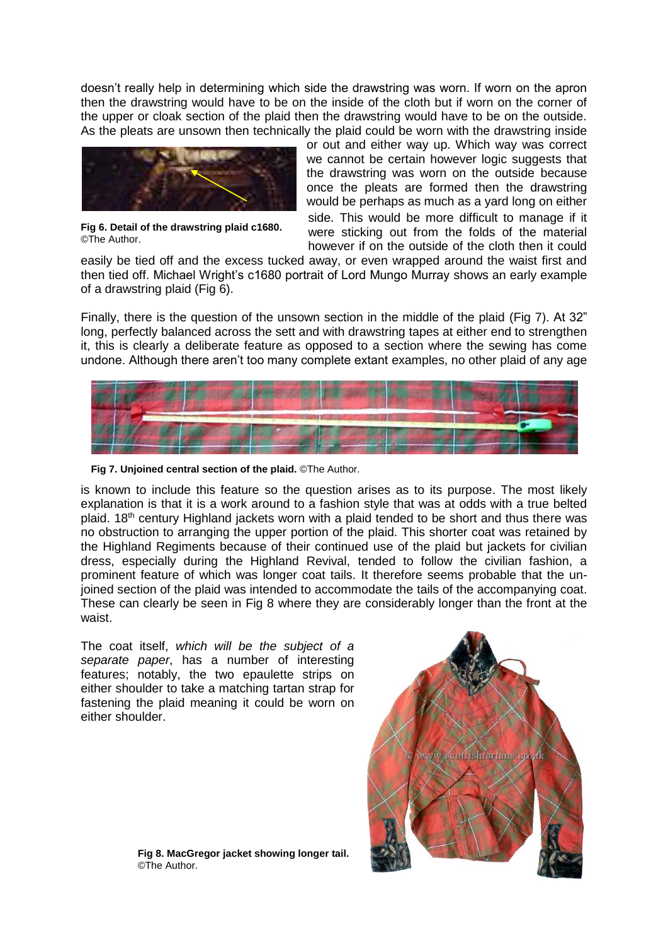doesn't really help in determining which side the drawstring was worn. If worn on the apron then the drawstring would have to be on the inside of the cloth but if worn on the corner of the upper or cloak section of the plaid then the drawstring would have to be on the outside. As the pleats are unsown then technically the plaid could be worn with the drawstring inside



**Fig 6. Detail of the drawstring plaid c1680.** ©The Author.

or out and either way up. Which way was correct we cannot be certain however logic suggests that the drawstring was worn on the outside because once the pleats are formed then the drawstring would be perhaps as much as a yard long on either side. This would be more difficult to manage if it were sticking out from the folds of the material however if on the outside of the cloth then it could

easily be tied off and the excess tucked away, or even wrapped around the waist first and then tied off. Michael Wright's c1680 portrait of Lord Mungo Murray shows an early example of a drawstring plaid (Fig 6).

Finally, there is the question of the unsown section in the middle of the plaid (Fig 7). At 32" long, perfectly balanced across the sett and with drawstring tapes at either end to strengthen it, this is clearly a deliberate feature as opposed to a section where the sewing has come undone. Although there aren't too many complete extant examples, no other plaid of any age



**Fig 7. Unjoined central section of the plaid.** ©The Author.

is known to include this feature so the question arises as to its purpose. The most likely explanation is that it is a work around to a fashion style that was at odds with a true belted plaid.  $18<sup>th</sup>$  century Highland jackets worn with a plaid tended to be short and thus there was no obstruction to arranging the upper portion of the plaid. This shorter coat was retained by the Highland Regiments because of their continued use of the plaid but jackets for civilian dress, especially during the Highland Revival, tended to follow the civilian fashion, a prominent feature of which was longer coat tails. It therefore seems probable that the unjoined section of the plaid was intended to accommodate the tails of the accompanying coat. These can clearly be seen in Fig 8 where they are considerably longer than the front at the waist.

The coat itself, *which will be the subject of a separate paper*, has a number of interesting features; notably, the two epaulette strips on either shoulder to take a matching tartan strap for fastening the plaid meaning it could be worn on either shoulder.



**Fig 8. MacGregor jacket showing longer tail.** ©The Author.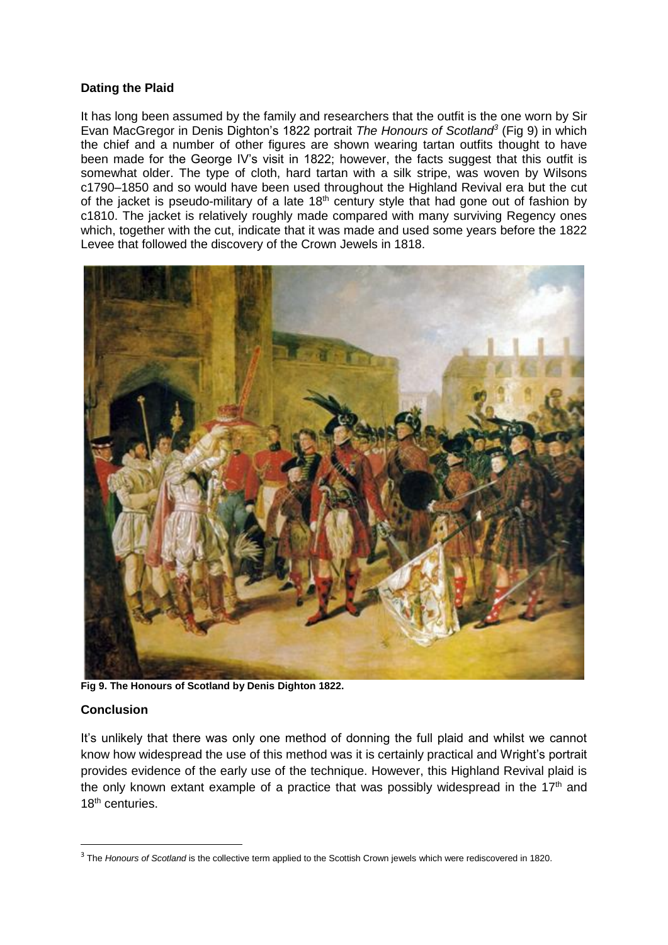## **Dating the Plaid**

It has long been assumed by the family and researchers that the outfit is the one worn by Sir Evan MacGregor in Denis Dighton's 1822 portrait *The Honours of Scotland<sup>3</sup>* (Fig 9) in which the chief and a number of other figures are shown wearing tartan outfits thought to have been made for the George IV's visit in 1822; however, the facts suggest that this outfit is somewhat older. The type of cloth, hard tartan with a silk stripe, was woven by Wilsons c1790–1850 and so would have been used throughout the Highland Revival era but the cut of the jacket is pseudo-military of a late  $18<sup>th</sup>$  century style that had gone out of fashion by c1810. The jacket is relatively roughly made compared with many surviving Regency ones which, together with the cut, indicate that it was made and used some years before the 1822 Levee that followed the discovery of the Crown Jewels in 1818.



**Fig 9. The Honours of Scotland by Denis Dighton 1822.**

## **Conclusion**

**.** 

It's unlikely that there was only one method of donning the full plaid and whilst we cannot know how widespread the use of this method was it is certainly practical and Wright's portrait provides evidence of the early use of the technique. However, this Highland Revival plaid is the only known extant example of a practice that was possibly widespread in the  $17<sup>th</sup>$  and 18<sup>th</sup> centuries.

<sup>3</sup> The *Honours of Scotland* is the collective term applied to the Scottish Crown jewels which were rediscovered in 1820.